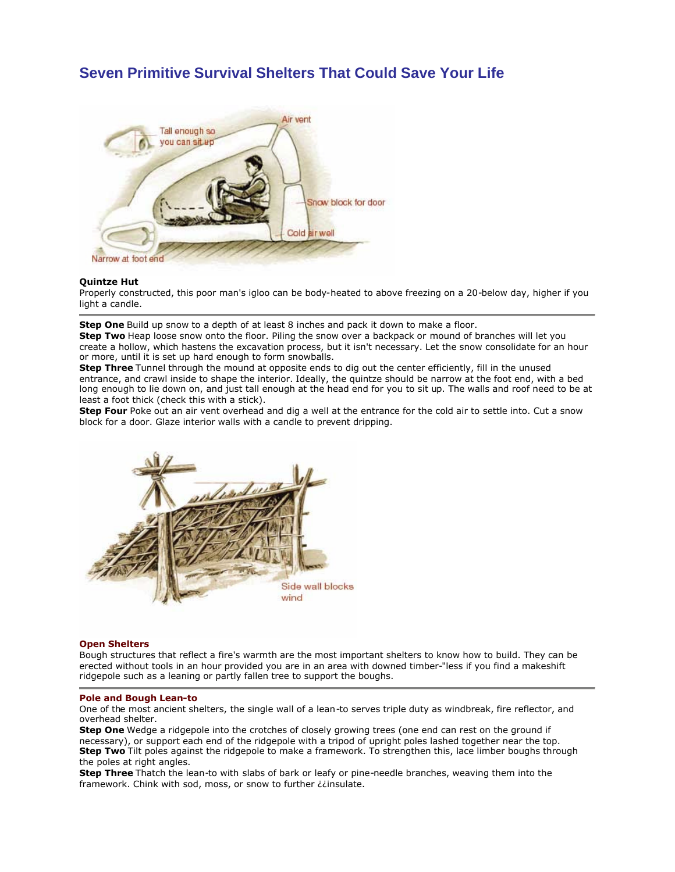# **Seven Primitive Survival Shelters That Could Save Your Life**



# **Quintze Hut**

Properly constructed, this poor man's igloo can be body-heated to above freezing on a 20-below day, higher if you light a candle.

**Step One** Build up snow to a depth of at least 8 inches and pack it down to make a floor.

**Step Two** Heap loose snow onto the floor. Piling the snow over a backpack or mound of branches will let you create a hollow, which hastens the excavation process, but it isn't necessary. Let the snow consolidate for an hour or more, until it is set up hard enough to form snowballs.

**Step Three** Tunnel through the mound at opposite ends to dig out the center efficiently, fill in the unused entrance, and crawl inside to shape the interior. Ideally, the quintze should be narrow at the foot end, with a bed long enough to lie down on, and just tall enough at the head end for you to sit up. The walls and roof need to be at least a foot thick (check this with a stick).

**Step Four** Poke out an air vent overhead and dig a well at the entrance for the cold air to settle into. Cut a snow block for a door. Glaze interior walls with a candle to prevent dripping.



# **Open Shelters**

Bough structures that reflect a fire's warmth are the most important shelters to know how to build. They can be erected without tools in an hour provided you are in an area with downed timber-"less if you find a makeshift ridgepole such as a leaning or partly fallen tree to support the boughs.

#### **Pole and Bough Lean-to**

One of the most ancient shelters, the single wall of a lean-to serves triple duty as windbreak, fire reflector, and overhead shelter.

**Step One** Wedge a ridgepole into the crotches of closely growing trees (one end can rest on the ground if necessary), or support each end of the ridgepole with a tripod of upright poles lashed together near the top. **Step Two** Tilt poles against the ridgepole to make a framework. To strengthen this, lace limber boughs through the poles at right angles.

**Step Three** Thatch the lean-to with slabs of bark or leafy or pine-needle branches, weaving them into the framework. Chink with sod, moss, or snow to further ¿¿insulate.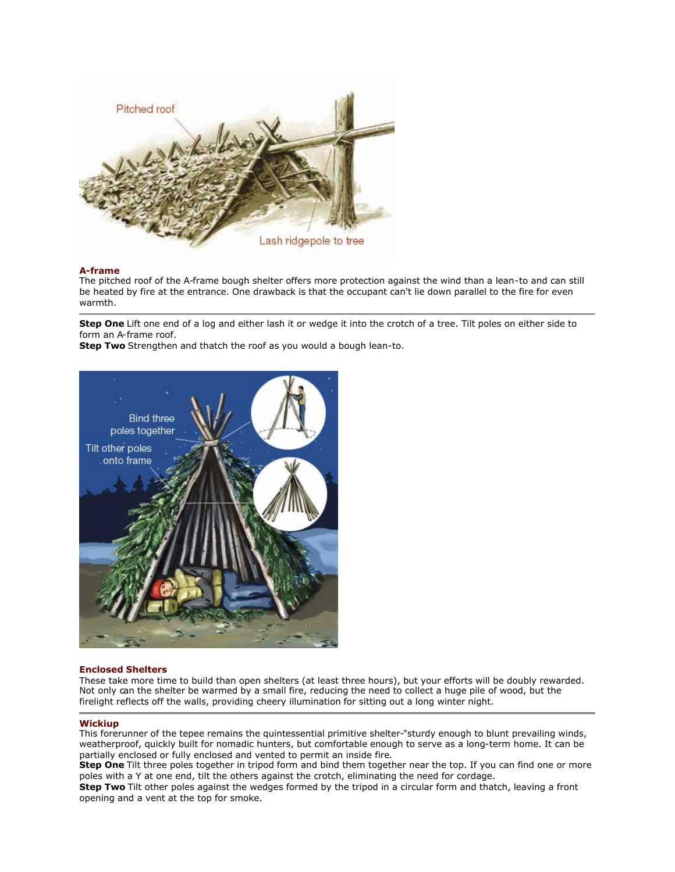

# **A-frame**

The pitched roof of the A-frame bough shelter offers more protection against the wind than a lean-to and can still be heated by fire at the entrance. One drawback is that the occupant can't lie down parallel to the fire for even warmth.

**Step One** Lift one end of a log and either lash it or wedge it into the crotch of a tree. Tilt poles on either side to form an A-frame roof.

**Step Two** Strengthen and thatch the roof as you would a bough lean-to.



# **Enclosed Shelters**

These take more time to build than open shelters (at least three hours), but your efforts will be doubly rewarded. Not only can the shelter be warmed by a small fire, reducing the need to collect a huge pile of wood, but the firelight reflects off the walls, providing cheery illumination for sitting out a long winter night.

# **Wickiup**

This forerunner of the tepee remains the quintessential primitive shelter-"sturdy enough to blunt prevailing winds, weatherproof, quickly built for nomadic hunters, but comfortable enough to serve as a long-term home. It can be partially enclosed or fully enclosed and vented to permit an inside fire.

**Step One** Tilt three poles together in tripod form and bind them together near the top. If you can find one or more poles with a Y at one end, tilt the others against the crotch, eliminating the need for cordage.

**Step Two** Tilt other poles against the wedges formed by the tripod in a circular form and thatch, leaving a front opening and a vent at the top for smoke.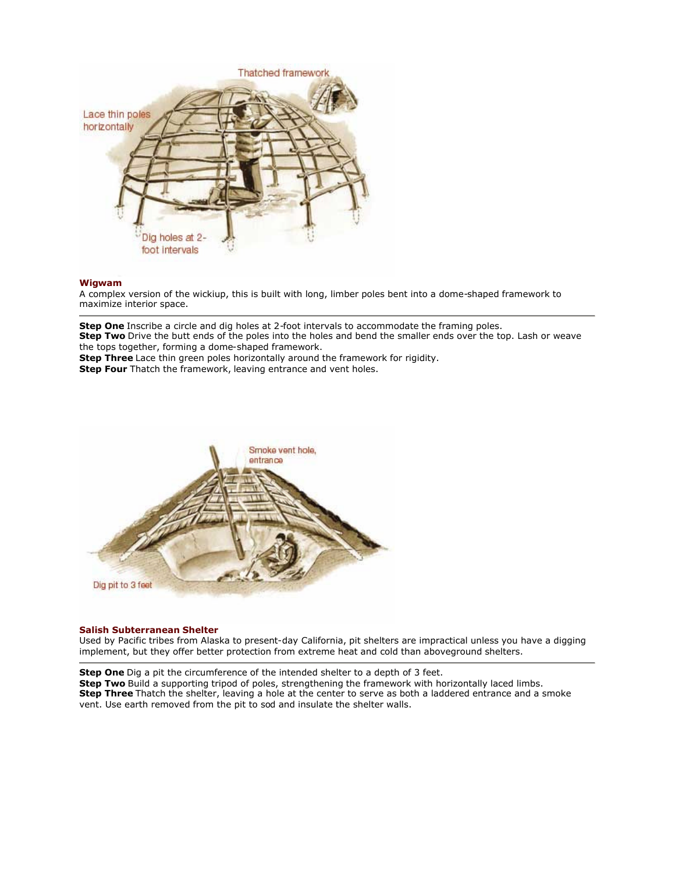

# **Wigwam**

A complex version of the wickiup, this is built with long, limber poles bent into a dome-shaped framework to maximize interior space.

**Step One** Inscribe a circle and dig holes at 2-foot intervals to accommodate the framing poles. **Step Two** Drive the butt ends of the poles into the holes and bend the smaller ends over the top. Lash or weave the tops together, forming a dome-shaped framework. **Step Three** Lace thin green poles horizontally around the framework for rigidity.

**Step Four** Thatch the framework, leaving entrance and vent holes.



# **Salish Subterranean Shelter**

Used by Pacific tribes from Alaska to present-day California, pit shelters are impractical unless you have a digging implement, but they offer better protection from extreme heat and cold than aboveground shelters.

**Step One** Dig a pit the circumference of the intended shelter to a depth of 3 feet. **Step Two** Build a supporting tripod of poles, strengthening the framework with horizontally laced limbs. **Step Three** Thatch the shelter, leaving a hole at the center to serve as both a laddered entrance and a smoke vent. Use earth removed from the pit to sod and insulate the shelter walls.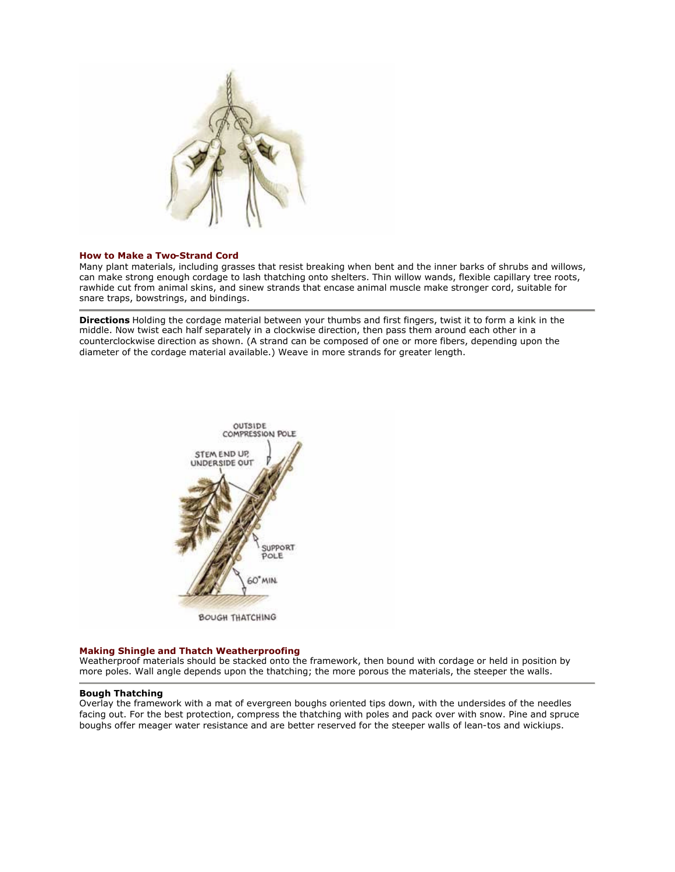

# **How to Make a Two-Strand Cord**

Many plant materials, including grasses that resist breaking when bent and the inner barks of shrubs and willows, can make strong enough cordage to lash thatching onto shelters. Thin willow wands, flexible capillary tree roots, rawhide cut from animal skins, and sinew strands that encase animal muscle make stronger cord, suitable for snare traps, bowstrings, and bindings.

**Directions** Holding the cordage material between your thumbs and first fingers, twist it to form a kink in the middle. Now twist each half separately in a clockwise direction, then pass them around each other in a counterclockwise direction as shown. (A strand can be composed of one or more fibers, depending upon the diameter of the cordage material available.) Weave in more strands for greater length.



# **Making Shingle and Thatch Weatherproofing**

Weatherproof materials should be stacked onto the framework, then bound with cordage or held in position by more poles. Wall angle depends upon the thatching; the more porous the materials, the steeper the walls.

#### **Bough Thatching**

Overlay the framework with a mat of evergreen boughs oriented tips down, with the undersides of the needles facing out. For the best protection, compress the thatching with poles and pack over with snow. Pine and spruce boughs offer meager water resistance and are better reserved for the steeper walls of lean-tos and wickiups.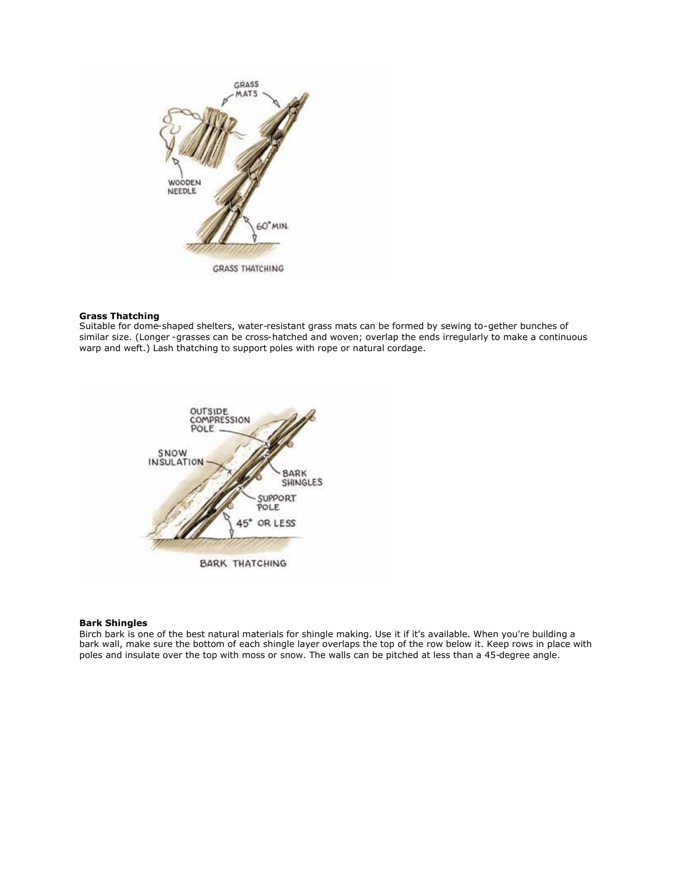

# **Grass Thatching**

Suitable for dome-shaped shelters, water-resistant grass mats can be formed by sewing to-gether bunches of similar size. (Longer -grasses can be cross-hatched and woven; overlap the ends irregularly to make a continuous warp and weft.) Lash thatching to support poles with rope or natural cordage.



# **Bark Shingles**

Birch bark is one of the best natural materials for shingle making. Use it if it's available. When you're building a bark wall, make sure the bottom of each shingle layer overlaps the top of the row below it. Keep rows in place with poles and insulate over the top with moss or snow. The walls can be pitched at less than a 45-degree angle.